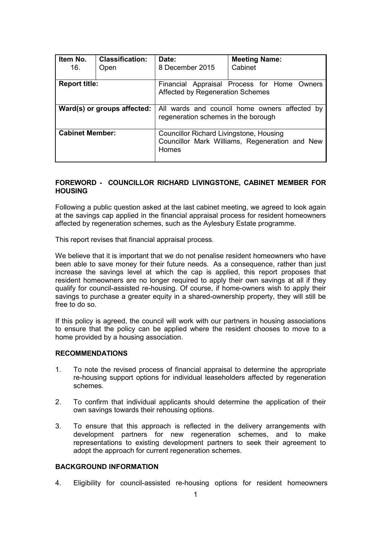| Item No.<br>16.             | <b>Classification:</b><br>Open | Date:<br>8 December 2015                                                                           | <b>Meeting Name:</b><br>Cabinet |  |  |
|-----------------------------|--------------------------------|----------------------------------------------------------------------------------------------------|---------------------------------|--|--|
| <b>Report title:</b>        |                                | Financial Appraisal Process for Home Owners<br>Affected by Regeneration Schemes                    |                                 |  |  |
| Ward(s) or groups affected: |                                | All wards and council home owners affected by<br>regeneration schemes in the borough               |                                 |  |  |
| <b>Cabinet Member:</b>      |                                | Councillor Richard Livingstone, Housing<br>Councillor Mark Williams, Regeneration and New<br>Homes |                                 |  |  |

### **FOREWORD - COUNCILLOR RICHARD LIVINGSTONE, CABINET MEMBER FOR HOUSING**

Following a public question asked at the last cabinet meeting, we agreed to look again at the savings cap applied in the financial appraisal process for resident homeowners affected by regeneration schemes, such as the Aylesbury Estate programme.

This report revises that financial appraisal process.

We believe that it is important that we do not penalise resident homeowners who have been able to save money for their future needs. As a consequence, rather than just increase the savings level at which the cap is applied, this report proposes that resident homeowners are no longer required to apply their own savings at all if they qualify for council-assisted re-housing. Of course, if home-owners wish to apply their savings to purchase a greater equity in a shared-ownership property, they will still be free to do so.

If this policy is agreed, the council will work with our partners in housing associations to ensure that the policy can be applied where the resident chooses to move to a home provided by a housing association.

### **RECOMMENDATIONS**

- 1. To note the revised process of financial appraisal to determine the appropriate re-housing support options for individual leaseholders affected by regeneration schemes.
- 2. To confirm that individual applicants should determine the application of their own savings towards their rehousing options.
- 3. To ensure that this approach is reflected in the delivery arrangements with development partners for new regeneration schemes, and to make representations to existing development partners to seek their agreement to adopt the approach for current regeneration schemes.

## **BACKGROUND INFORMATION**

4. Eligibility for council-assisted re-housing options for resident homeowners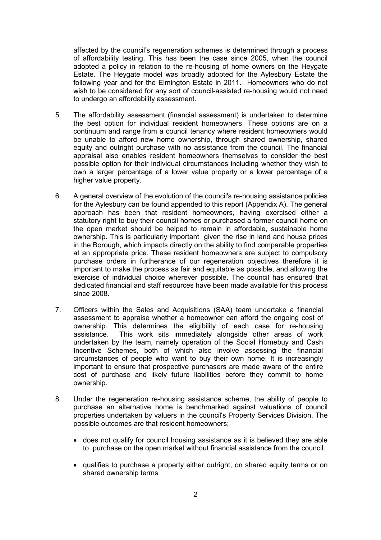affected by the council's regeneration schemes is determined through a process of affordability testing. This has been the case since 2005, when the council adopted a policy in relation to the re-housing of home owners on the Heygate Estate. The Heygate model was broadly adopted for the Aylesbury Estate the following year and for the Elmington Estate in 2011. Homeowners who do not wish to be considered for any sort of council-assisted re-housing would not need to undergo an affordability assessment.

- 5. The affordability assessment (financial assessment) is undertaken to determine the best option for individual resident homeowners. These options are on a continuum and range from a council tenancy where resident homeowners would be unable to afford new home ownership, through shared ownership, shared equity and outright purchase with no assistance from the council. The financial appraisal also enables resident homeowners themselves to consider the best possible option for their individual circumstances including whether they wish to own a larger percentage of a lower value property or a lower percentage of a higher value property.
- 6. A general overview of the evolution of the council's re-housing assistance policies for the Aylesbury can be found appended to this report (Appendix A). The general approach has been that resident homeowners, having exercised either a statutory right to buy their council homes or purchased a former council home on the open market should be helped to remain in affordable, sustainable home ownership. This is particularly important given the rise in land and house prices in the Borough, which impacts directly on the ability to find comparable properties at an appropriate price. These resident homeowners are subject to compulsory purchase orders in furtherance of our regeneration objectives therefore it is important to make the process as fair and equitable as possible, and allowing the exercise of individual choice wherever possible. The council has ensured that dedicated financial and staff resources have been made available for this process since 2008.
- 7. Officers within the Sales and Acquisitions (SAA) team undertake a financial assessment to appraise whether a homeowner can afford the ongoing cost of ownership. This determines the eligibility of each case for re-housing assistance. This work sits immediately alongside other areas of work undertaken by the team, namely operation of the Social Homebuy and Cash Incentive Schemes, both of which also involve assessing the financial circumstances of people who want to buy their own home. It is increasingly important to ensure that prospective purchasers are made aware of the entire cost of purchase and likely future liabilities before they commit to home ownership.
- 8. Under the regeneration re-housing assistance scheme, the ability of people to purchase an alternative home is benchmarked against valuations of council properties undertaken by valuers in the council's Property Services Division. The possible outcomes are that resident homeowners;
	- does not qualify for council housing assistance as it is believed they are able to purchase on the open market without financial assistance from the council.
	- qualifies to purchase a property either outright, on shared equity terms or on shared ownership terms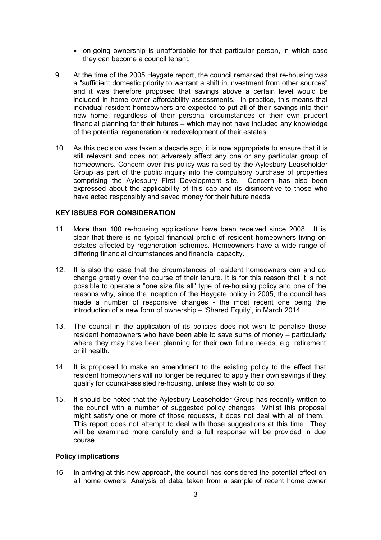- on-going ownership is unaffordable for that particular person, in which case they can become a council tenant.
- 9. At the time of the 2005 Heygate report, the council remarked that re-housing was a "sufficient domestic priority to warrant a shift in investment from other sources" and it was therefore proposed that savings above a certain level would be included in home owner affordability assessments. In practice, this means that individual resident homeowners are expected to put all of their savings into their new home, regardless of their personal circumstances or their own prudent financial planning for their futures – which may not have included any knowledge of the potential regeneration or redevelopment of their estates.
- 10. As this decision was taken a decade ago, it is now appropriate to ensure that it is still relevant and does not adversely affect any one or any particular group of homeowners. Concern over this policy was raised by the Aylesbury Leaseholder Group as part of the public inquiry into the compulsory purchase of properties comprising the Aylesbury First Development site. Concern has also been expressed about the applicability of this cap and its disincentive to those who have acted responsibly and saved money for their future needs.

#### **KEY ISSUES FOR CONSIDERATION**

- 11. More than 100 re-housing applications have been received since 2008. It is clear that there is no typical financial profile of resident homeowners living on estates affected by regeneration schemes. Homeowners have a wide range of differing financial circumstances and financial capacity.
- 12. It is also the case that the circumstances of resident homeowners can and do change greatly over the course of their tenure. It is for this reason that it is not possible to operate a "one size fits all" type of re-housing policy and one of the reasons why, since the inception of the Heygate policy in 2005, the council has made a number of responsive changes - the most recent one being the introduction of a new form of ownership – 'Shared Equity', in March 2014.
- 13. The council in the application of its policies does not wish to penalise those resident homeowners who have been able to save sums of money – particularly where they may have been planning for their own future needs, e.g. retirement or ill health.
- 14. It is proposed to make an amendment to the existing policy to the effect that resident homeowners will no longer be required to apply their own savings if they qualify for council-assisted re-housing, unless they wish to do so.
- 15. It should be noted that the Aylesbury Leaseholder Group has recently written to the council with a number of suggested policy changes. Whilst this proposal might satisfy one or more of those requests, it does not deal with all of them. This report does not attempt to deal with those suggestions at this time. They will be examined more carefully and a full response will be provided in due course.

#### **Policy implications**

16. In arriving at this new approach, the council has considered the potential effect on all home owners. Analysis of data, taken from a sample of recent home owner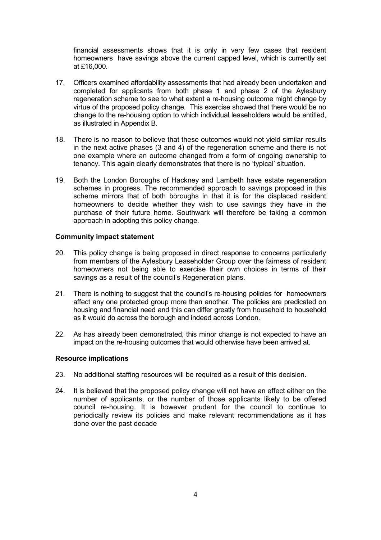financial assessments shows that it is only in very few cases that resident homeowners have savings above the current capped level, which is currently set at £16,000.

- 17. Officers examined affordability assessments that had already been undertaken and completed for applicants from both phase 1 and phase 2 of the Aylesbury regeneration scheme to see to what extent a re-housing outcome might change by virtue of the proposed policy change. This exercise showed that there would be no change to the re-housing option to which individual leaseholders would be entitled, as illustrated in Appendix B.
- 18. There is no reason to believe that these outcomes would not yield similar results in the next active phases (3 and 4) of the regeneration scheme and there is not one example where an outcome changed from a form of ongoing ownership to tenancy. This again clearly demonstrates that there is no 'typical' situation.
- 19. Both the London Boroughs of Hackney and Lambeth have estate regeneration schemes in progress. The recommended approach to savings proposed in this scheme mirrors that of both boroughs in that it is for the displaced resident homeowners to decide whether they wish to use savings they have in the purchase of their future home. Southwark will therefore be taking a common approach in adopting this policy change.

### **Community impact statement**

- 20. This policy change is being proposed in direct response to concerns particularly from members of the Aylesbury Leaseholder Group over the fairness of resident homeowners not being able to exercise their own choices in terms of their savings as a result of the council's Regeneration plans.
- 21. There is nothing to suggest that the council's re-housing policies for homeowners affect any one protected group more than another. The policies are predicated on housing and financial need and this can differ greatly from household to household as it would do across the borough and indeed across London.
- 22. As has already been demonstrated, this minor change is not expected to have an impact on the re-housing outcomes that would otherwise have been arrived at.

### **Resource implications**

- 23. No additional staffing resources will be required as a result of this decision.
- 24. It is believed that the proposed policy change will not have an effect either on the number of applicants, or the number of those applicants likely to be offered council re-housing. It is however prudent for the council to continue to periodically review its policies and make relevant recommendations as it has done over the past decade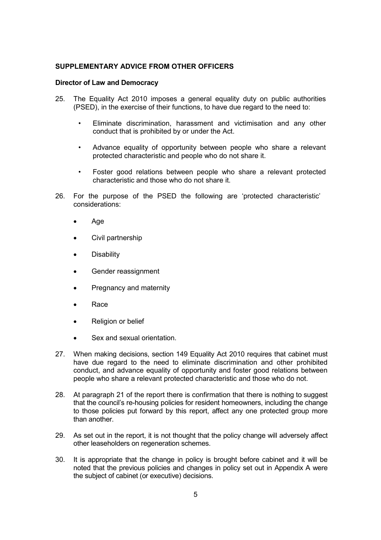# **SUPPLEMENTARY ADVICE FROM OTHER OFFICERS**

### **Director of Law and Democracy**

- 25. The Equality Act 2010 imposes a general equality duty on public authorities (PSED), in the exercise of their functions, to have due regard to the need to:
	- Eliminate discrimination, harassment and victimisation and any other conduct that is prohibited by or under the Act.
	- Advance equality of opportunity between people who share a relevant protected characteristic and people who do not share it.
	- Foster good relations between people who share a relevant protected characteristic and those who do not share it.
- 26. For the purpose of the PSED the following are 'protected characteristic' considerations:
	- Age
	- Civil partnership
	- **Disability**
	- Gender reassignment
	- Pregnancy and maternity
	- Race
	- Religion or belief
	- Sex and sexual orientation.
- 27. When making decisions, section 149 Equality Act 2010 requires that cabinet must have due regard to the need to eliminate discrimination and other prohibited conduct, and advance equality of opportunity and foster good relations between people who share a relevant protected characteristic and those who do not.
- 28. At paragraph 21 of the report there is confirmation that there is nothing to suggest that the council's re-housing policies for resident homeowners, including the change to those policies put forward by this report, affect any one protected group more than another.
- 29. As set out in the report, it is not thought that the policy change will adversely affect other leaseholders on regeneration schemes.
- 30. It is appropriate that the change in policy is brought before cabinet and it will be noted that the previous policies and changes in policy set out in Appendix A were the subject of cabinet (or executive) decisions.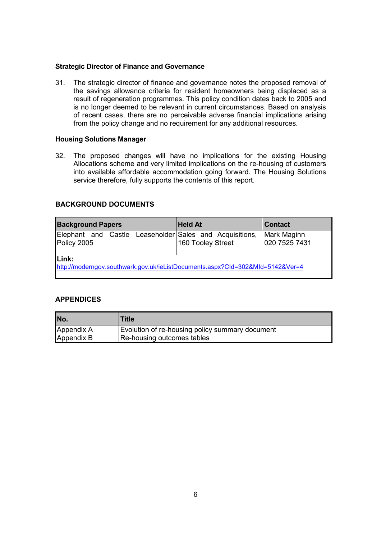### **Strategic Director of Finance and Governance**

31. The strategic director of finance and governance notes the proposed removal of the savings allowance criteria for resident homeowners being displaced as a result of regeneration programmes. This policy condition dates back to 2005 and is no longer deemed to be relevant in current circumstances. Based on analysis of recent cases, there are no perceivable adverse financial implications arising from the policy change and no requirement for any additional resources.

## **Housing Solutions Manager**

32. The proposed changes will have no implications for the existing Housing Allocations scheme and very limited implications on the re-housing of customers into available affordable accommodation going forward. The Housing Solutions service therefore, fully supports the contents of this report.

# **BACKGROUND DOCUMENTS**

| <b>Background Papers</b>                                                                      | <b>Held At</b>    | <b>Contact</b>               |  |  |  |  |  |  |
|-----------------------------------------------------------------------------------------------|-------------------|------------------------------|--|--|--|--|--|--|
| Elephant and Castle Leaseholder Sales and Acquisitions,<br>Policy 2005                        | 160 Tooley Street | Mark Maginn<br>020 7525 7431 |  |  |  |  |  |  |
| <b>Link:</b><br>http://moderngov.southwark.gov.uk/ieListDocuments.aspx?Cld=302&MId=5142&Ver=4 |                   |                              |  |  |  |  |  |  |

# **APPENDICES**

| No.        | Title                                           |
|------------|-------------------------------------------------|
| Appendix A | Evolution of re-housing policy summary document |
| Appendix B | Re-housing outcomes tables                      |